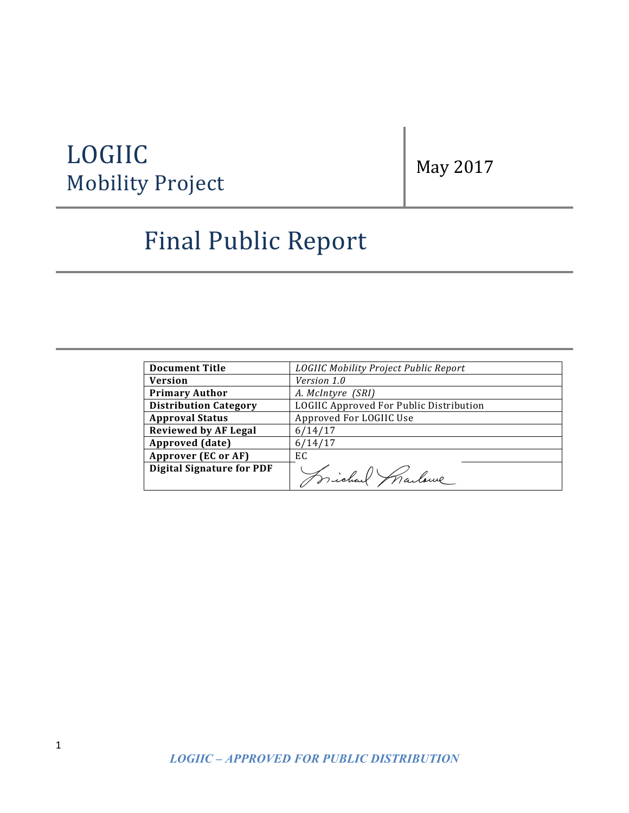# LOGIIC LOGIIC<br>Mobility Project May 2017

# Final Public Report

| <b>Document Title</b>            | LOGIIC Mobility Project Public Report   |
|----------------------------------|-----------------------------------------|
| <b>Version</b>                   | <i>Version 1.0</i>                      |
| <b>Primary Author</b>            | A. McIntyre (SRI)                       |
| <b>Distribution Category</b>     | LOGIIC Approved For Public Distribution |
| <b>Approval Status</b>           | Approved For LOGIIC Use                 |
| <b>Reviewed by AF Legal</b>      | 6/14/17                                 |
| Approved (date)                  | 6/14/17                                 |
| <b>Approver (EC or AF)</b>       | EC.                                     |
| <b>Digital Signature for PDF</b> |                                         |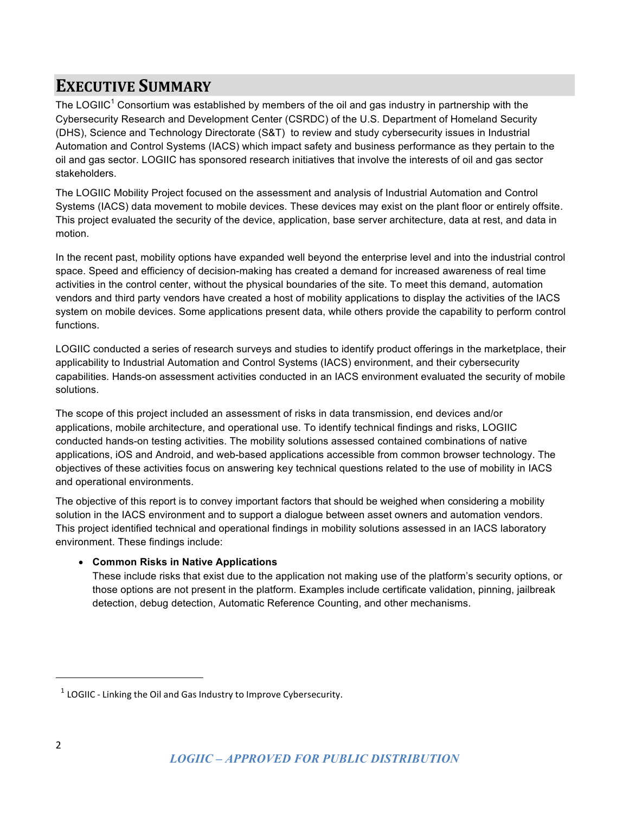## **EXECUTIVE SUMMARY**

The LOGIIC<sup>1</sup> Consortium was established by members of the oil and gas industry in partnership with the Cybersecurity Research and Development Center (CSRDC) of the U.S. Department of Homeland Security (DHS), Science and Technology Directorate (S&T) to review and study cybersecurity issues in Industrial Automation and Control Systems (IACS) which impact safety and business performance as they pertain to the oil and gas sector. LOGIIC has sponsored research initiatives that involve the interests of oil and gas sector stakeholders.

The LOGIIC Mobility Project focused on the assessment and analysis of Industrial Automation and Control Systems (IACS) data movement to mobile devices. These devices may exist on the plant floor or entirely offsite. This project evaluated the security of the device, application, base server architecture, data at rest, and data in motion.

In the recent past, mobility options have expanded well beyond the enterprise level and into the industrial control space. Speed and efficiency of decision-making has created a demand for increased awareness of real time activities in the control center, without the physical boundaries of the site. To meet this demand, automation vendors and third party vendors have created a host of mobility applications to display the activities of the IACS system on mobile devices. Some applications present data, while others provide the capability to perform control functions.

LOGIIC conducted a series of research surveys and studies to identify product offerings in the marketplace, their applicability to Industrial Automation and Control Systems (IACS) environment, and their cybersecurity capabilities. Hands-on assessment activities conducted in an IACS environment evaluated the security of mobile solutions.

The scope of this project included an assessment of risks in data transmission, end devices and/or applications, mobile architecture, and operational use. To identify technical findings and risks, LOGIIC conducted hands-on testing activities. The mobility solutions assessed contained combinations of native applications, iOS and Android, and web-based applications accessible from common browser technology. The objectives of these activities focus on answering key technical questions related to the use of mobility in IACS and operational environments.

The objective of this report is to convey important factors that should be weighed when considering a mobility solution in the IACS environment and to support a dialogue between asset owners and automation vendors. This project identified technical and operational findings in mobility solutions assessed in an IACS laboratory environment. These findings include:

### • **Common Risks in Native Applications**

 

These include risks that exist due to the application not making use of the platform's security options, or those options are not present in the platform. Examples include certificate validation, pinning, jailbreak detection, debug detection, Automatic Reference Counting, and other mechanisms.

 $1$  LOGIIC - Linking the Oil and Gas Industry to Improve Cybersecurity.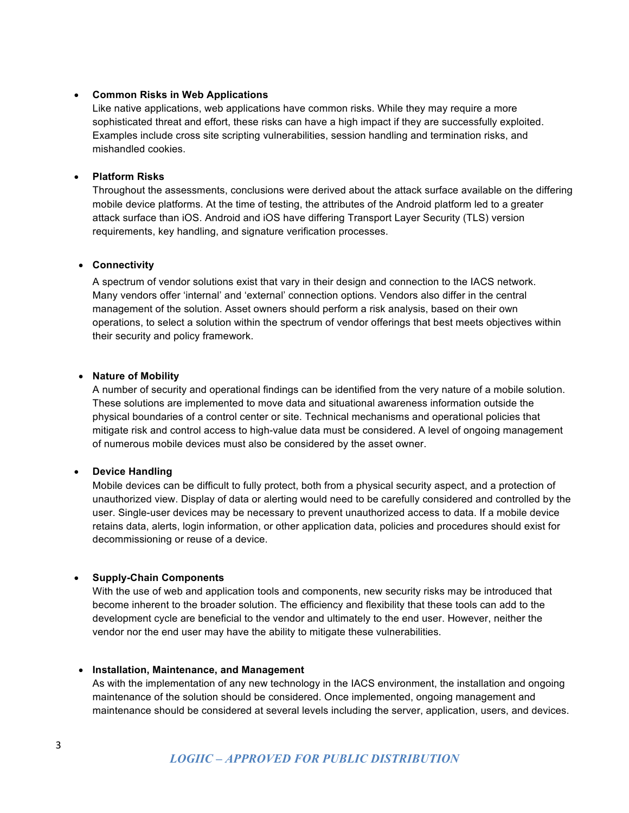#### • **Common Risks in Web Applications**

Like native applications, web applications have common risks. While they may require a more sophisticated threat and effort, these risks can have a high impact if they are successfully exploited. Examples include cross site scripting vulnerabilities, session handling and termination risks, and mishandled cookies.

#### • **Platform Risks**

Throughout the assessments, conclusions were derived about the attack surface available on the differing mobile device platforms. At the time of testing, the attributes of the Android platform led to a greater attack surface than iOS. Android and iOS have differing Transport Layer Security (TLS) version requirements, key handling, and signature verification processes.

#### • **Connectivity**

A spectrum of vendor solutions exist that vary in their design and connection to the IACS network. Many vendors offer 'internal' and 'external' connection options. Vendors also differ in the central management of the solution. Asset owners should perform a risk analysis, based on their own operations, to select a solution within the spectrum of vendor offerings that best meets objectives within their security and policy framework.

#### • **Nature of Mobility**

A number of security and operational findings can be identified from the very nature of a mobile solution. These solutions are implemented to move data and situational awareness information outside the physical boundaries of a control center or site. Technical mechanisms and operational policies that mitigate risk and control access to high-value data must be considered. A level of ongoing management of numerous mobile devices must also be considered by the asset owner.

#### • **Device Handling**

Mobile devices can be difficult to fully protect, both from a physical security aspect, and a protection of unauthorized view. Display of data or alerting would need to be carefully considered and controlled by the user. Single-user devices may be necessary to prevent unauthorized access to data. If a mobile device retains data, alerts, login information, or other application data, policies and procedures should exist for decommissioning or reuse of a device.

#### • **Supply-Chain Components**

With the use of web and application tools and components, new security risks may be introduced that become inherent to the broader solution. The efficiency and flexibility that these tools can add to the development cycle are beneficial to the vendor and ultimately to the end user. However, neither the vendor nor the end user may have the ability to mitigate these vulnerabilities.

#### • **Installation, Maintenance, and Management**

As with the implementation of any new technology in the IACS environment, the installation and ongoing maintenance of the solution should be considered. Once implemented, ongoing management and maintenance should be considered at several levels including the server, application, users, and devices.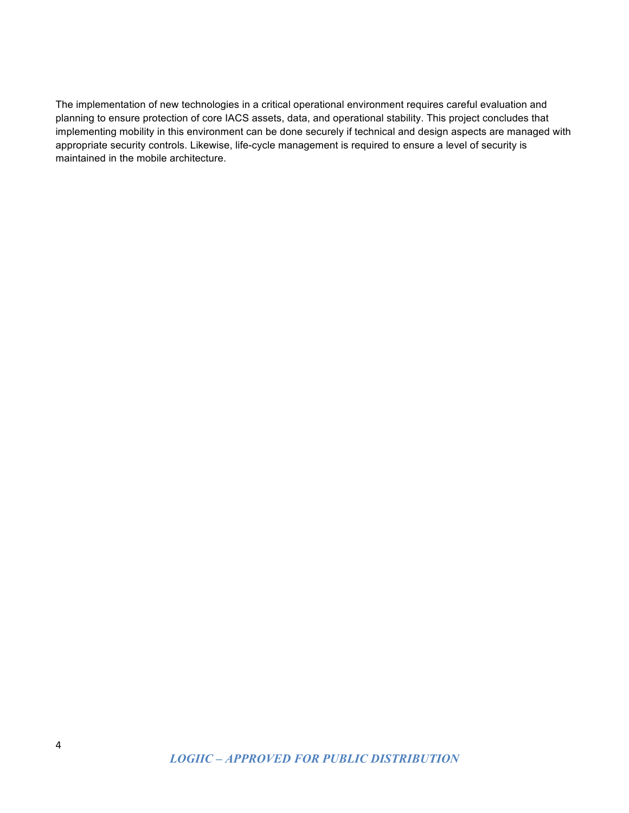The implementation of new technologies in a critical operational environment requires careful evaluation and planning to ensure protection of core IACS assets, data, and operational stability. This project concludes that implementing mobility in this environment can be done securely if technical and design aspects are managed with appropriate security controls. Likewise, life-cycle management is required to ensure a level of security is maintained in the mobile architecture.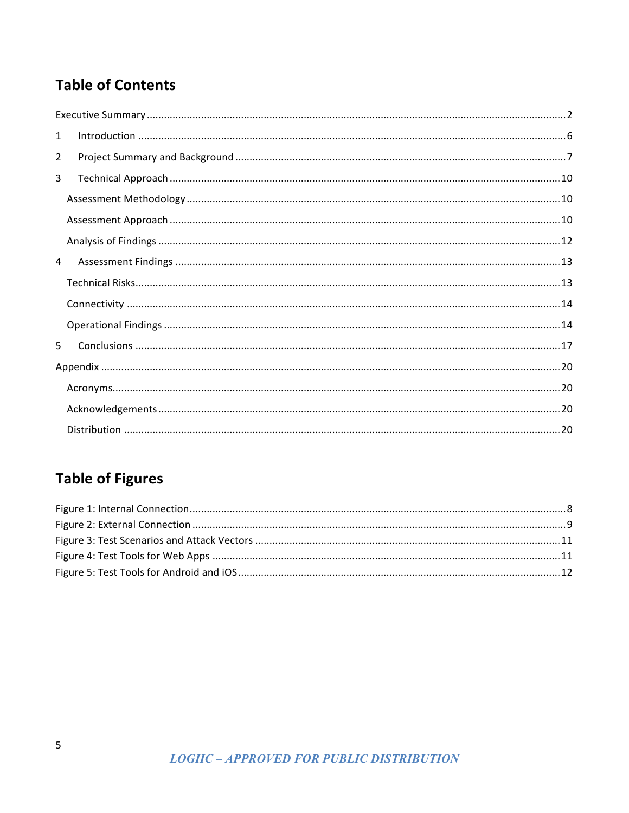## **Table of Contents**

| $\mathbf{1}$   |  |
|----------------|--|
| $\overline{2}$ |  |
| 3              |  |
|                |  |
|                |  |
|                |  |
| 4              |  |
|                |  |
|                |  |
|                |  |
| 5.             |  |
|                |  |
|                |  |
|                |  |
|                |  |

# **Table of Figures**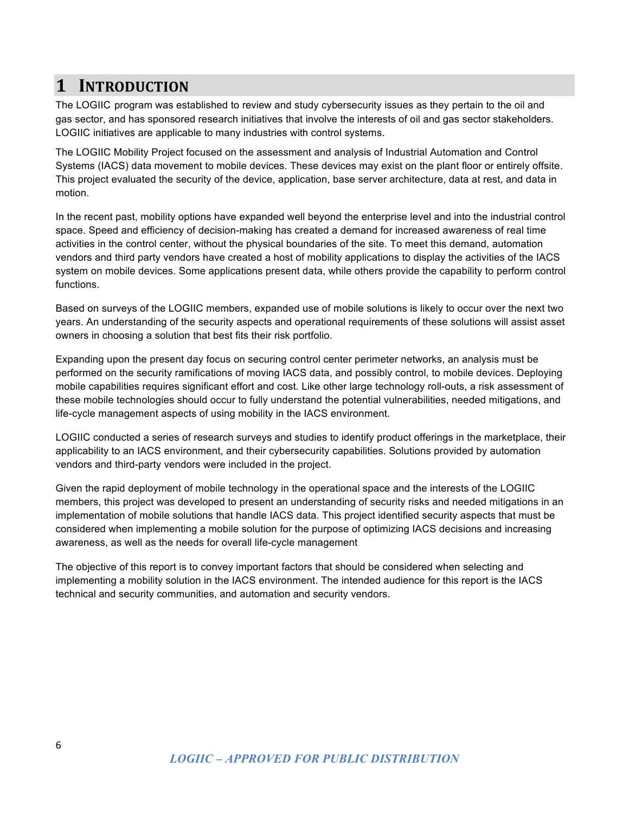### **1 INTRODUCTION**

The LOGIIC program was established to review and study cybersecurity issues as they pertain to the oil and gas sector, and has sponsored research initiatives that involve the interests of oil and gas sector stakeholders. LOGIIC initiatives are applicable to many industries with control systems.

The LOGIIC Mobility Project focused on the assessment and analysis of Industrial Automation and Control Systems (IACS) data movement to mobile devices. These devices may exist on the plant floor or entirely offsite. This project evaluated the security of the device, application, base server architecture, data at rest, and data in motion.

In the recent past, mobility options have expanded well beyond the enterprise level and into the industrial control space. Speed and efficiency of decision-making has created a demand for increased awareness of real time activities in the control center, without the physical boundaries of the site. To meet this demand, automation vendors and third party vendors have created a host of mobility applications to display the activities of the IACS system on mobile devices. Some applications present data, while others provide the capability to perform control functions.

Based on surveys of the LOGIIC members, expanded use of mobile solutions is likely to occur over the next two years. An understanding of the security aspects and operational requirements of these solutions will assist asset owners in choosing a solution that best fits their risk portfolio.

Expanding upon the present day focus on securing control center perimeter networks, an analysis must be performed on the security ramifications of moving IACS data, and possibly control, to mobile devices. Deploying mobile capabilities requires significant effort and cost. Like other large technology roll-outs, a risk assessment of these mobile technologies should occur to fully understand the potential vulnerabilities, needed mitigations, and life-cycle management aspects of using mobility in the IACS environment.

LOGIIC conducted a series of research surveys and studies to identify product offerings in the marketplace, their applicability to an IACS environment, and their cybersecurity capabilities. Solutions provided by automation vendors and third-party vendors were included in the project.

Given the rapid deployment of mobile technology in the operational space and the interests of the LOGIIC members, this project was developed to present an understanding of security risks and needed mitigations in an implementation of mobile solutions that handle IACS data. This project identified security aspects that must be considered when implementing a mobile solution for the purpose of optimizing IACS decisions and increasing awareness, as well as the needs for overall life-cycle management

The objective of this report is to convey important factors that should be considered when selecting and implementing a mobility solution in the IACS environment. The intended audience for this report is the IACS technical and security communities, and automation and security vendors.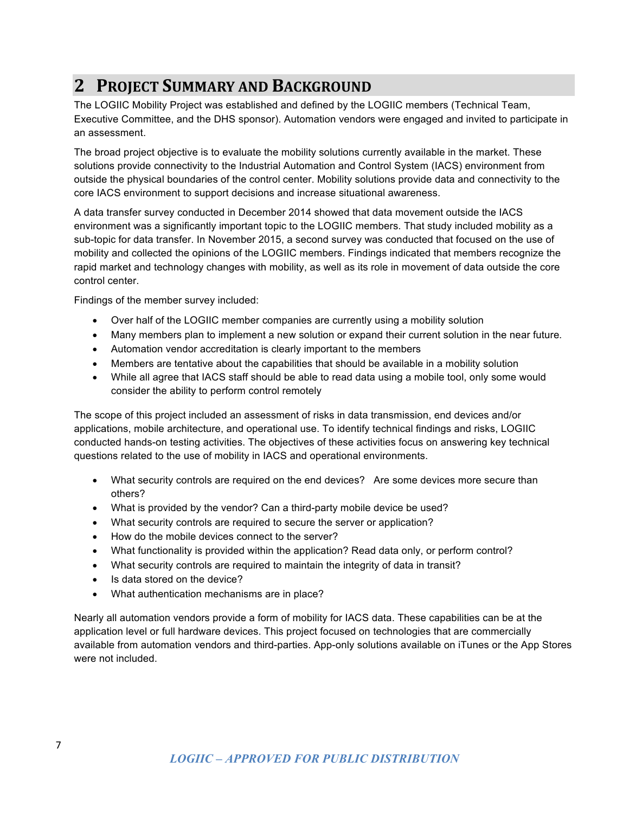# **2 PROJECT SUMMARY AND BACKGROUND**

The LOGIIC Mobility Project was established and defined by the LOGIIC members (Technical Team, Executive Committee, and the DHS sponsor). Automation vendors were engaged and invited to participate in an assessment.

The broad project objective is to evaluate the mobility solutions currently available in the market. These solutions provide connectivity to the Industrial Automation and Control System (IACS) environment from outside the physical boundaries of the control center. Mobility solutions provide data and connectivity to the core IACS environment to support decisions and increase situational awareness.

A data transfer survey conducted in December 2014 showed that data movement outside the IACS environment was a significantly important topic to the LOGIIC members. That study included mobility as a sub-topic for data transfer. In November 2015, a second survey was conducted that focused on the use of mobility and collected the opinions of the LOGIIC members. Findings indicated that members recognize the rapid market and technology changes with mobility, as well as its role in movement of data outside the core control center.

Findings of the member survey included:

- Over half of the LOGIIC member companies are currently using a mobility solution
- Many members plan to implement a new solution or expand their current solution in the near future.
- Automation vendor accreditation is clearly important to the members
- Members are tentative about the capabilities that should be available in a mobility solution
- While all agree that IACS staff should be able to read data using a mobile tool, only some would consider the ability to perform control remotely

The scope of this project included an assessment of risks in data transmission, end devices and/or applications, mobile architecture, and operational use. To identify technical findings and risks, LOGIIC conducted hands-on testing activities. The objectives of these activities focus on answering key technical questions related to the use of mobility in IACS and operational environments.

- What security controls are required on the end devices? Are some devices more secure than others?
- What is provided by the vendor? Can a third-party mobile device be used?
- What security controls are required to secure the server or application?
- How do the mobile devices connect to the server?
- What functionality is provided within the application? Read data only, or perform control?
- What security controls are required to maintain the integrity of data in transit?
- Is data stored on the device?
- What authentication mechanisms are in place?

Nearly all automation vendors provide a form of mobility for IACS data. These capabilities can be at the application level or full hardware devices. This project focused on technologies that are commercially available from automation vendors and third-parties. App-only solutions available on iTunes or the App Stores were not included.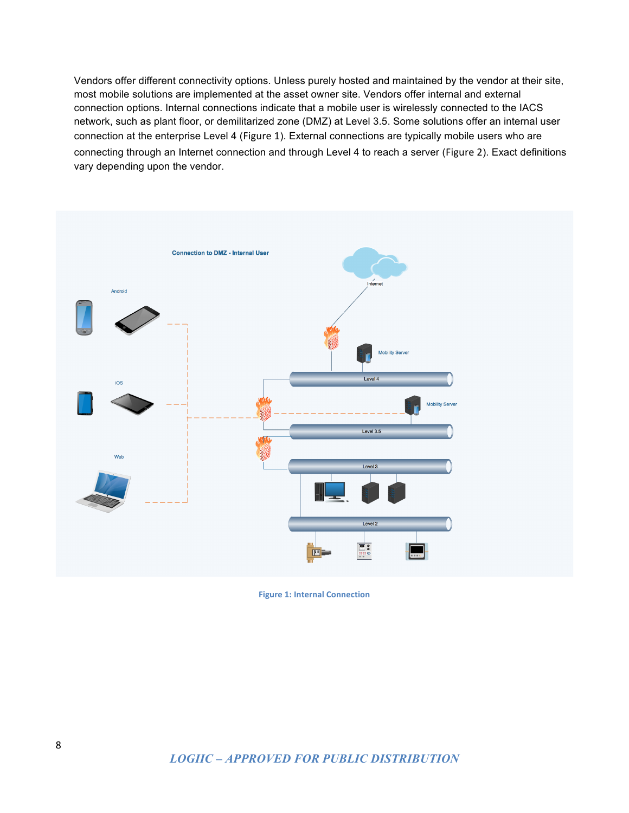Vendors offer different connectivity options. Unless purely hosted and maintained by the vendor at their site, most mobile solutions are implemented at the asset owner site. Vendors offer internal and external connection options. Internal connections indicate that a mobile user is wirelessly connected to the IACS network, such as plant floor, or demilitarized zone (DMZ) at Level 3.5. Some solutions offer an internal user connection at the enterprise Level 4 (Figure 1). External connections are typically mobile users who are connecting through an Internet connection and through Level 4 to reach a server (Figure 2). Exact definitions vary depending upon the vendor.



**Figure 1: Internal Connection**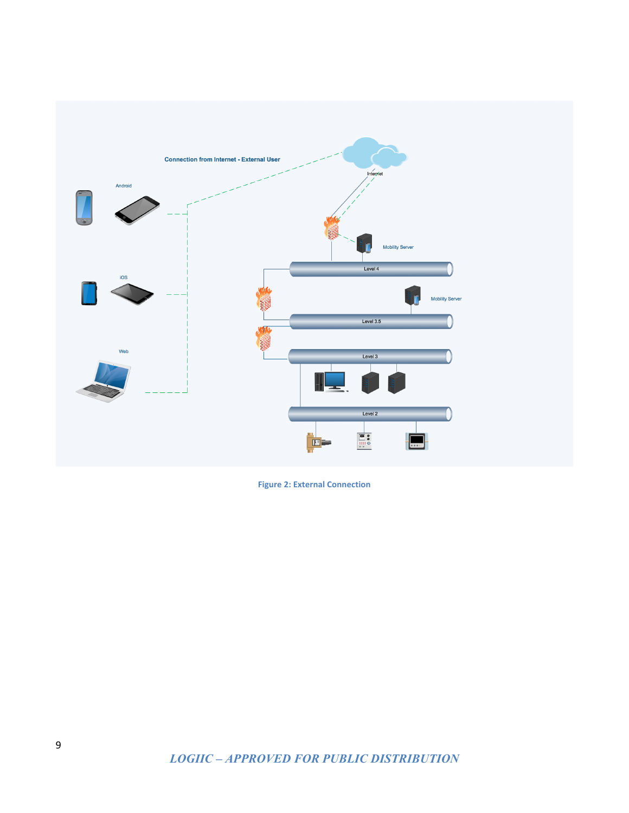

**Figure 2: External Connection**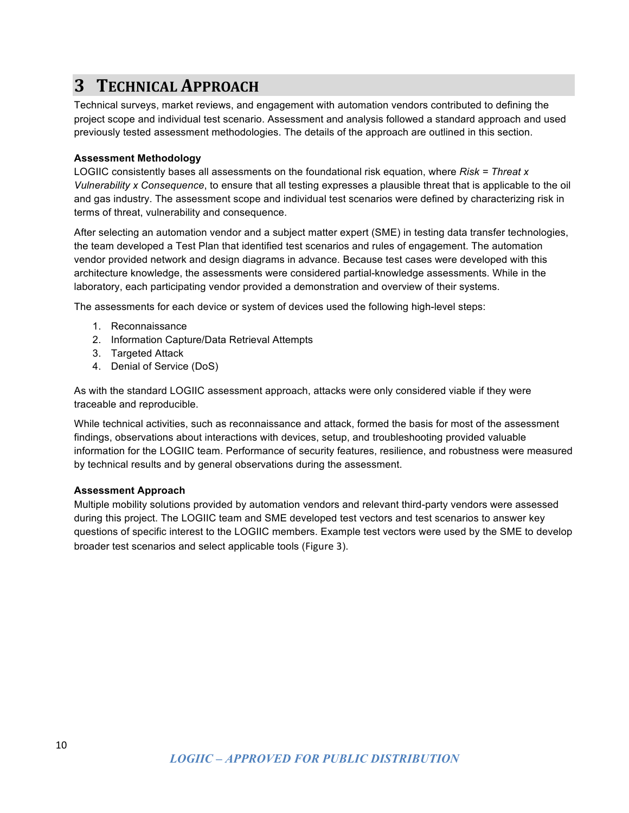# **3 TECHNICAL APPROACH**

Technical surveys, market reviews, and engagement with automation vendors contributed to defining the project scope and individual test scenario. Assessment and analysis followed a standard approach and used previously tested assessment methodologies. The details of the approach are outlined in this section.

### **Assessment Methodology**

LOGIIC consistently bases all assessments on the foundational risk equation, where *Risk = Threat x Vulnerability x Consequence*, to ensure that all testing expresses a plausible threat that is applicable to the oil and gas industry. The assessment scope and individual test scenarios were defined by characterizing risk in terms of threat, vulnerability and consequence.

After selecting an automation vendor and a subject matter expert (SME) in testing data transfer technologies, the team developed a Test Plan that identified test scenarios and rules of engagement. The automation vendor provided network and design diagrams in advance. Because test cases were developed with this architecture knowledge, the assessments were considered partial-knowledge assessments. While in the laboratory, each participating vendor provided a demonstration and overview of their systems.

The assessments for each device or system of devices used the following high-level steps:

- 1. Reconnaissance
- 2. Information Capture/Data Retrieval Attempts
- 3. Targeted Attack
- 4. Denial of Service (DoS)

As with the standard LOGIIC assessment approach, attacks were only considered viable if they were traceable and reproducible.

While technical activities, such as reconnaissance and attack, formed the basis for most of the assessment findings, observations about interactions with devices, setup, and troubleshooting provided valuable information for the LOGIIC team. Performance of security features, resilience, and robustness were measured by technical results and by general observations during the assessment.

#### **Assessment Approach**

Multiple mobility solutions provided by automation vendors and relevant third-party vendors were assessed during this project. The LOGIIC team and SME developed test vectors and test scenarios to answer key questions of specific interest to the LOGIIC members. Example test vectors were used by the SME to develop broader test scenarios and select applicable tools (Figure 3).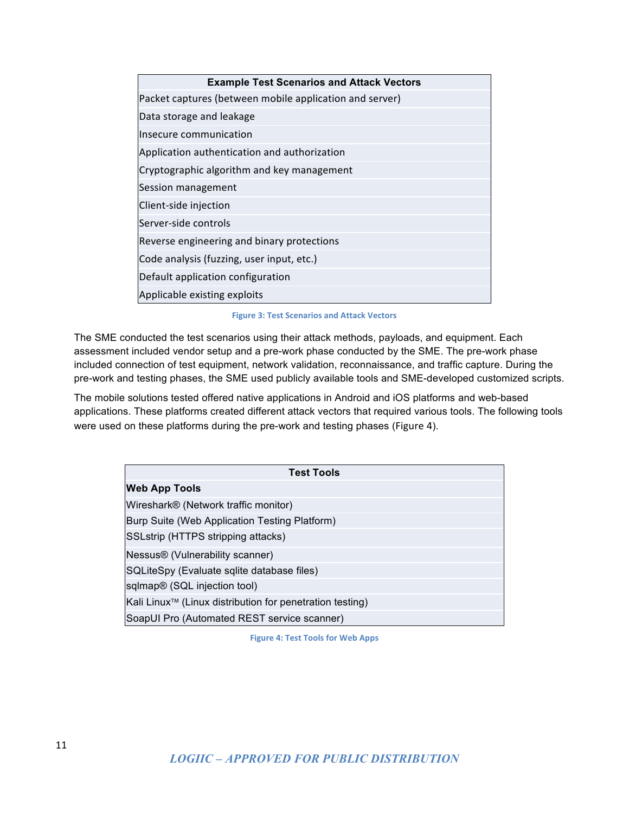| <b>Example Test Scenarios and Attack Vectors</b>        |  |  |
|---------------------------------------------------------|--|--|
| Packet captures (between mobile application and server) |  |  |
| Data storage and leakage                                |  |  |
| Insecure communication                                  |  |  |
| Application authentication and authorization            |  |  |
| Cryptographic algorithm and key management              |  |  |
| Session management                                      |  |  |
| Client-side injection                                   |  |  |
| Server-side controls                                    |  |  |
| Reverse engineering and binary protections              |  |  |
| Code analysis (fuzzing, user input, etc.)               |  |  |
| Default application configuration                       |  |  |
| Applicable existing exploits                            |  |  |

**Figure 3: Test Scenarios and Attack Vectors**

The SME conducted the test scenarios using their attack methods, payloads, and equipment. Each assessment included vendor setup and a pre-work phase conducted by the SME. The pre-work phase included connection of test equipment, network validation, reconnaissance, and traffic capture. During the pre-work and testing phases, the SME used publicly available tools and SME-developed customized scripts.

The mobile solutions tested offered native applications in Android and iOS platforms and web-based applications. These platforms created different attack vectors that required various tools. The following tools were used on these platforms during the pre-work and testing phases (Figure 4).

| <b>Test Tools</b>                                                    |
|----------------------------------------------------------------------|
| <b>Web App Tools</b>                                                 |
| Wireshark <sup>®</sup> (Network traffic monitor)                     |
| Burp Suite (Web Application Testing Platform)                        |
| SSLstrip (HTTPS stripping attacks)                                   |
| Nessus <sup>®</sup> (Vulnerability scanner)                          |
| SQLiteSpy (Evaluate sqlite database files)                           |
| sqlmap <sup>®</sup> (SQL injection tool)                             |
| Kali Linux <sup>™</sup> (Linux distribution for penetration testing) |
| SoapUI Pro (Automated REST service scanner)                          |

**Figure 4: Test Tools for Web Apps**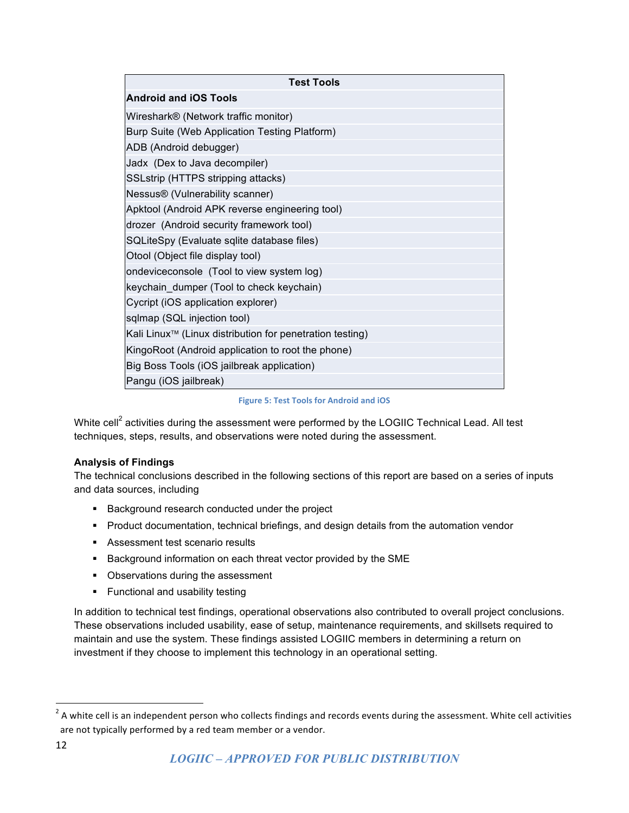| <b>Test Tools</b>                                                    |
|----------------------------------------------------------------------|
| <b>Android and iOS Tools</b>                                         |
| Wireshark® (Network traffic monitor)                                 |
| Burp Suite (Web Application Testing Platform)                        |
| ADB (Android debugger)                                               |
| Jadx (Dex to Java decompiler)                                        |
| SSLstrip (HTTPS stripping attacks)                                   |
| Nessus® (Vulnerability scanner)                                      |
| Apktool (Android APK reverse engineering tool)                       |
| drozer (Android security framework tool)                             |
| SQLiteSpy (Evaluate sqlite database files)                           |
| Otool (Object file display tool)                                     |
| ondeviceconsole (Tool to view system log)                            |
| keychain_dumper (Tool to check keychain)                             |
| Cycript (iOS application explorer)                                   |
| sqlmap (SQL injection tool)                                          |
| Kali Linux <sup>™</sup> (Linux distribution for penetration testing) |
| KingoRoot (Android application to root the phone)                    |
| Big Boss Tools (iOS jailbreak application)                           |
| Pangu (iOS jailbreak)                                                |

**Figure 5: Test Tools for Android and iOS** 

White cell<sup>2</sup> activities during the assessment were performed by the LOGIIC Technical Lead. All test techniques, steps, results, and observations were noted during the assessment.

#### **Analysis of Findings**

The technical conclusions described in the following sections of this report are based on a series of inputs and data sources, including

- Background research conducted under the project
- Product documentation, technical briefings, and design details from the automation vendor
- Assessment test scenario results
- **■** Background information on each threat vector provided by the SME
- Observations during the assessment
- § Functional and usability testing

In addition to technical test findings, operational observations also contributed to overall project conclusions. These observations included usability, ease of setup, maintenance requirements, and skillsets required to maintain and use the system. These findings assisted LOGIIC members in determining a return on investment if they choose to implement this technology in an operational setting.

 $2$  A white cell is an independent person who collects findings and records events during the assessment. White cell activities are not typically performed by a red team member or a vendor.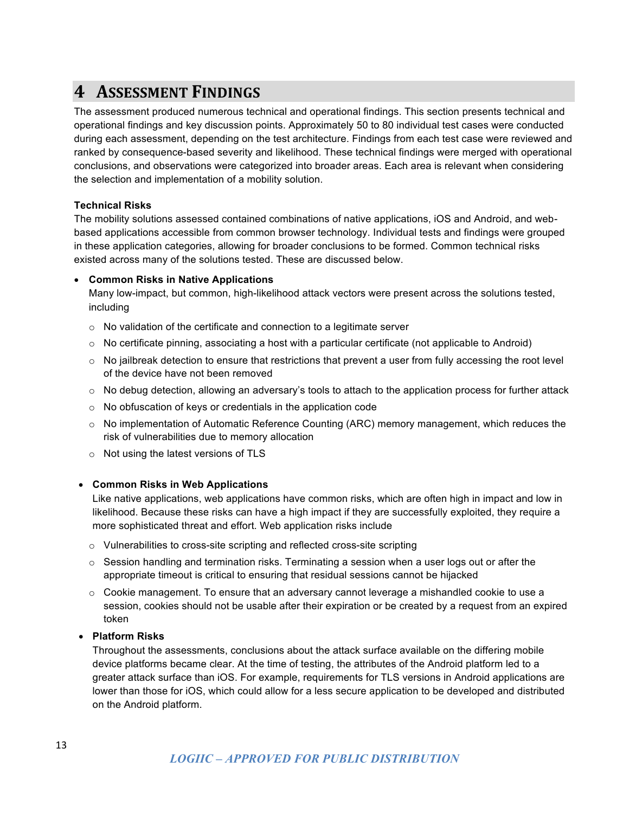### **4** ASSESSMENT FINDINGS

The assessment produced numerous technical and operational findings. This section presents technical and operational findings and key discussion points. Approximately 50 to 80 individual test cases were conducted during each assessment, depending on the test architecture. Findings from each test case were reviewed and ranked by consequence-based severity and likelihood. These technical findings were merged with operational conclusions, and observations were categorized into broader areas. Each area is relevant when considering the selection and implementation of a mobility solution.

### **Technical Risks**

The mobility solutions assessed contained combinations of native applications, iOS and Android, and webbased applications accessible from common browser technology. Individual tests and findings were grouped in these application categories, allowing for broader conclusions to be formed. Common technical risks existed across many of the solutions tested. These are discussed below.

### • **Common Risks in Native Applications**

Many low-impact, but common, high-likelihood attack vectors were present across the solutions tested, including

- o No validation of the certificate and connection to a legitimate server
- $\circ$  No certificate pinning, associating a host with a particular certificate (not applicable to Android)
- $\circ$  No jailbreak detection to ensure that restrictions that prevent a user from fully accessing the root level of the device have not been removed
- $\circ$  No debug detection, allowing an adversary's tools to attach to the application process for further attack
- o No obfuscation of keys or credentials in the application code
- o No implementation of Automatic Reference Counting (ARC) memory management, which reduces the risk of vulnerabilities due to memory allocation
- o Not using the latest versions of TLS

#### • **Common Risks in Web Applications**

Like native applications, web applications have common risks, which are often high in impact and low in likelihood. Because these risks can have a high impact if they are successfully exploited, they require a more sophisticated threat and effort. Web application risks include

- o Vulnerabilities to cross-site scripting and reflected cross-site scripting
- $\circ$  Session handling and termination risks. Terminating a session when a user logs out or after the appropriate timeout is critical to ensuring that residual sessions cannot be hijacked
- o Cookie management. To ensure that an adversary cannot leverage a mishandled cookie to use a session, cookies should not be usable after their expiration or be created by a request from an expired token

#### • **Platform Risks**

Throughout the assessments, conclusions about the attack surface available on the differing mobile device platforms became clear. At the time of testing, the attributes of the Android platform led to a greater attack surface than iOS. For example, requirements for TLS versions in Android applications are lower than those for iOS, which could allow for a less secure application to be developed and distributed on the Android platform.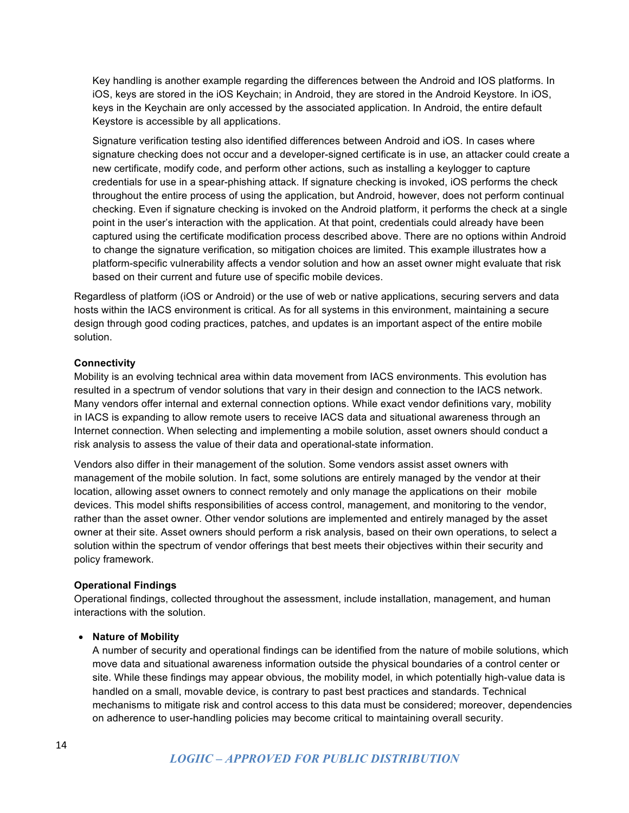Key handling is another example regarding the differences between the Android and IOS platforms. In iOS, keys are stored in the iOS Keychain; in Android, they are stored in the Android Keystore. In iOS, keys in the Keychain are only accessed by the associated application. In Android, the entire default Keystore is accessible by all applications.

Signature verification testing also identified differences between Android and iOS. In cases where signature checking does not occur and a developer-signed certificate is in use, an attacker could create a new certificate, modify code, and perform other actions, such as installing a keylogger to capture credentials for use in a spear-phishing attack. If signature checking is invoked, iOS performs the check throughout the entire process of using the application, but Android, however, does not perform continual checking. Even if signature checking is invoked on the Android platform, it performs the check at a single point in the user's interaction with the application. At that point, credentials could already have been captured using the certificate modification process described above. There are no options within Android to change the signature verification, so mitigation choices are limited. This example illustrates how a platform-specific vulnerability affects a vendor solution and how an asset owner might evaluate that risk based on their current and future use of specific mobile devices.

Regardless of platform (iOS or Android) or the use of web or native applications, securing servers and data hosts within the IACS environment is critical. As for all systems in this environment, maintaining a secure design through good coding practices, patches, and updates is an important aspect of the entire mobile solution.

#### **Connectivity**

Mobility is an evolving technical area within data movement from IACS environments. This evolution has resulted in a spectrum of vendor solutions that vary in their design and connection to the IACS network. Many vendors offer internal and external connection options. While exact vendor definitions vary, mobility in IACS is expanding to allow remote users to receive IACS data and situational awareness through an Internet connection. When selecting and implementing a mobile solution, asset owners should conduct a risk analysis to assess the value of their data and operational-state information.

Vendors also differ in their management of the solution. Some vendors assist asset owners with management of the mobile solution. In fact, some solutions are entirely managed by the vendor at their location, allowing asset owners to connect remotely and only manage the applications on their mobile devices. This model shifts responsibilities of access control, management, and monitoring to the vendor, rather than the asset owner. Other vendor solutions are implemented and entirely managed by the asset owner at their site. Asset owners should perform a risk analysis, based on their own operations, to select a solution within the spectrum of vendor offerings that best meets their objectives within their security and policy framework.

#### **Operational Findings**

Operational findings, collected throughout the assessment, include installation, management, and human interactions with the solution.

#### • **Nature of Mobility**

A number of security and operational findings can be identified from the nature of mobile solutions, which move data and situational awareness information outside the physical boundaries of a control center or site. While these findings may appear obvious, the mobility model, in which potentially high-value data is handled on a small, movable device, is contrary to past best practices and standards. Technical mechanisms to mitigate risk and control access to this data must be considered; moreover, dependencies on adherence to user-handling policies may become critical to maintaining overall security.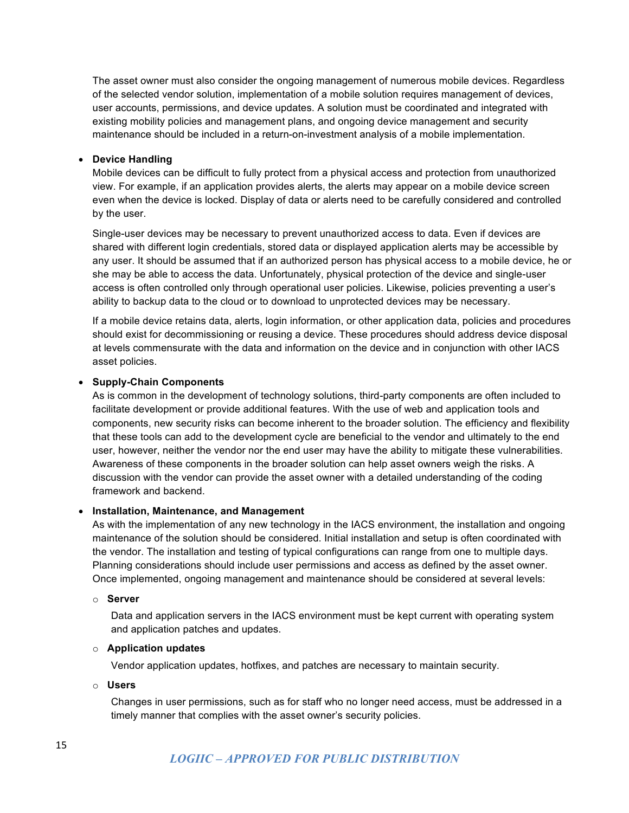The asset owner must also consider the ongoing management of numerous mobile devices. Regardless of the selected vendor solution, implementation of a mobile solution requires management of devices, user accounts, permissions, and device updates. A solution must be coordinated and integrated with existing mobility policies and management plans, and ongoing device management and security maintenance should be included in a return-on-investment analysis of a mobile implementation.

#### • **Device Handling**

Mobile devices can be difficult to fully protect from a physical access and protection from unauthorized view. For example, if an application provides alerts, the alerts may appear on a mobile device screen even when the device is locked. Display of data or alerts need to be carefully considered and controlled by the user.

Single-user devices may be necessary to prevent unauthorized access to data. Even if devices are shared with different login credentials, stored data or displayed application alerts may be accessible by any user. It should be assumed that if an authorized person has physical access to a mobile device, he or she may be able to access the data. Unfortunately, physical protection of the device and single-user access is often controlled only through operational user policies. Likewise, policies preventing a user's ability to backup data to the cloud or to download to unprotected devices may be necessary.

If a mobile device retains data, alerts, login information, or other application data, policies and procedures should exist for decommissioning or reusing a device. These procedures should address device disposal at levels commensurate with the data and information on the device and in conjunction with other IACS asset policies.

#### • **Supply-Chain Components**

As is common in the development of technology solutions, third-party components are often included to facilitate development or provide additional features. With the use of web and application tools and components, new security risks can become inherent to the broader solution. The efficiency and flexibility that these tools can add to the development cycle are beneficial to the vendor and ultimately to the end user, however, neither the vendor nor the end user may have the ability to mitigate these vulnerabilities. Awareness of these components in the broader solution can help asset owners weigh the risks. A discussion with the vendor can provide the asset owner with a detailed understanding of the coding framework and backend.

#### • **Installation, Maintenance, and Management**

As with the implementation of any new technology in the IACS environment, the installation and ongoing maintenance of the solution should be considered. Initial installation and setup is often coordinated with the vendor. The installation and testing of typical configurations can range from one to multiple days. Planning considerations should include user permissions and access as defined by the asset owner. Once implemented, ongoing management and maintenance should be considered at several levels:

#### o **Server**

Data and application servers in the IACS environment must be kept current with operating system and application patches and updates.

#### o **Application updates**

Vendor application updates, hotfixes, and patches are necessary to maintain security.

#### o **Users**

Changes in user permissions, such as for staff who no longer need access, must be addressed in a timely manner that complies with the asset owner's security policies.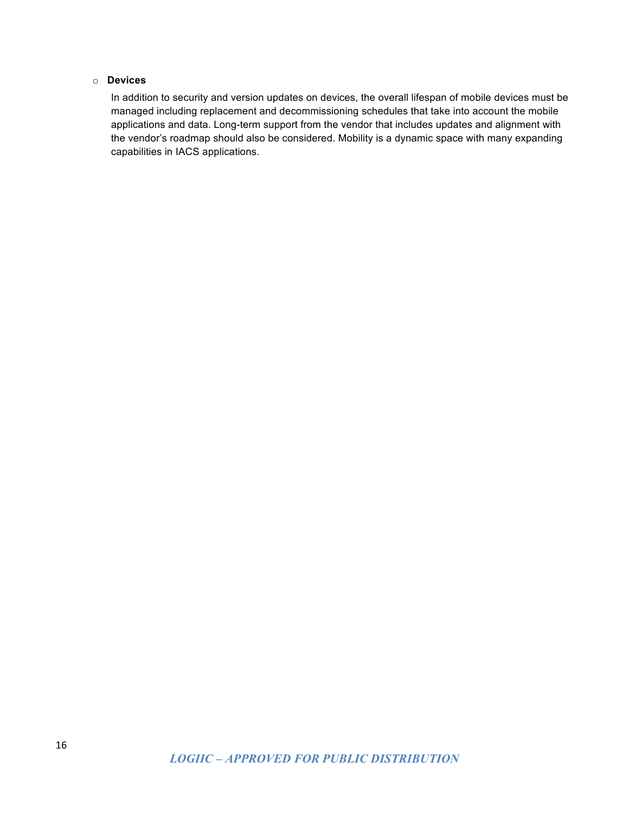### o **Devices**

In addition to security and version updates on devices, the overall lifespan of mobile devices must be managed including replacement and decommissioning schedules that take into account the mobile applications and data. Long-term support from the vendor that includes updates and alignment with the vendor's roadmap should also be considered. Mobility is a dynamic space with many expanding capabilities in IACS applications.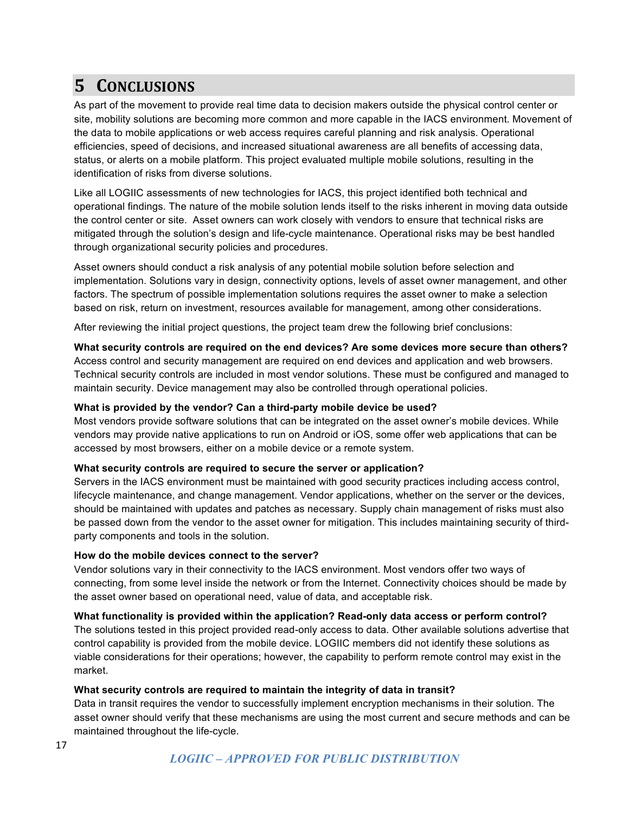# **5 CONCLUSIONS**

As part of the movement to provide real time data to decision makers outside the physical control center or site, mobility solutions are becoming more common and more capable in the IACS environment. Movement of the data to mobile applications or web access requires careful planning and risk analysis. Operational efficiencies, speed of decisions, and increased situational awareness are all benefits of accessing data, status, or alerts on a mobile platform. This project evaluated multiple mobile solutions, resulting in the identification of risks from diverse solutions.

Like all LOGIIC assessments of new technologies for IACS, this project identified both technical and operational findings. The nature of the mobile solution lends itself to the risks inherent in moving data outside the control center or site. Asset owners can work closely with vendors to ensure that technical risks are mitigated through the solution's design and life-cycle maintenance. Operational risks may be best handled through organizational security policies and procedures.

Asset owners should conduct a risk analysis of any potential mobile solution before selection and implementation. Solutions vary in design, connectivity options, levels of asset owner management, and other factors. The spectrum of possible implementation solutions requires the asset owner to make a selection based on risk, return on investment, resources available for management, among other considerations.

After reviewing the initial project questions, the project team drew the following brief conclusions:

#### **What security controls are required on the end devices? Are some devices more secure than others?**

Access control and security management are required on end devices and application and web browsers. Technical security controls are included in most vendor solutions. These must be configured and managed to maintain security. Device management may also be controlled through operational policies.

#### **What is provided by the vendor? Can a third-party mobile device be used?**

Most vendors provide software solutions that can be integrated on the asset owner's mobile devices. While vendors may provide native applications to run on Android or iOS, some offer web applications that can be accessed by most browsers, either on a mobile device or a remote system.

#### **What security controls are required to secure the server or application?**

Servers in the IACS environment must be maintained with good security practices including access control, lifecycle maintenance, and change management. Vendor applications, whether on the server or the devices, should be maintained with updates and patches as necessary. Supply chain management of risks must also be passed down from the vendor to the asset owner for mitigation. This includes maintaining security of thirdparty components and tools in the solution.

#### **How do the mobile devices connect to the server?**

Vendor solutions vary in their connectivity to the IACS environment. Most vendors offer two ways of connecting, from some level inside the network or from the Internet. Connectivity choices should be made by the asset owner based on operational need, value of data, and acceptable risk.

### **What functionality is provided within the application? Read-only data access or perform control?**

The solutions tested in this project provided read-only access to data. Other available solutions advertise that control capability is provided from the mobile device. LOGIIC members did not identify these solutions as viable considerations for their operations; however, the capability to perform remote control may exist in the market.

#### **What security controls are required to maintain the integrity of data in transit?**

Data in transit requires the vendor to successfully implement encryption mechanisms in their solution. The asset owner should verify that these mechanisms are using the most current and secure methods and can be maintained throughout the life-cycle.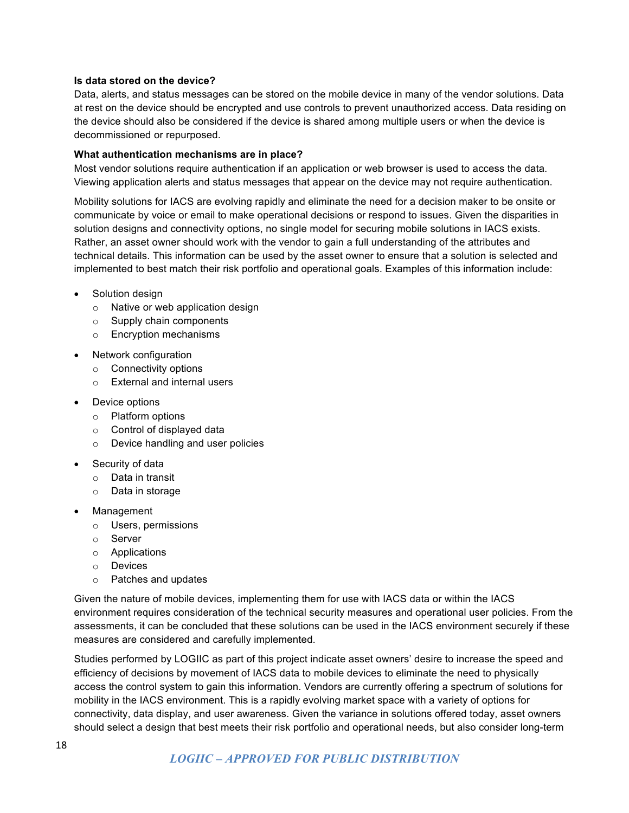#### **Is data stored on the device?**

Data, alerts, and status messages can be stored on the mobile device in many of the vendor solutions. Data at rest on the device should be encrypted and use controls to prevent unauthorized access. Data residing on the device should also be considered if the device is shared among multiple users or when the device is decommissioned or repurposed.

#### **What authentication mechanisms are in place?**

Most vendor solutions require authentication if an application or web browser is used to access the data. Viewing application alerts and status messages that appear on the device may not require authentication.

Mobility solutions for IACS are evolving rapidly and eliminate the need for a decision maker to be onsite or communicate by voice or email to make operational decisions or respond to issues. Given the disparities in solution designs and connectivity options, no single model for securing mobile solutions in IACS exists. Rather, an asset owner should work with the vendor to gain a full understanding of the attributes and technical details. This information can be used by the asset owner to ensure that a solution is selected and implemented to best match their risk portfolio and operational goals. Examples of this information include:

- Solution design
	- o Native or web application design
	- o Supply chain components
	- o Encryption mechanisms
- Network configuration
	- o Connectivity options
	- o External and internal users
- Device options
	- o Platform options
	- o Control of displayed data
	- o Device handling and user policies
- Security of data
	- o Data in transit
	- o Data in storage
- Management
	- o Users, permissions
	- o Server
	- o Applications
	- o Devices
	- o Patches and updates

Given the nature of mobile devices, implementing them for use with IACS data or within the IACS environment requires consideration of the technical security measures and operational user policies. From the assessments, it can be concluded that these solutions can be used in the IACS environment securely if these measures are considered and carefully implemented.

Studies performed by LOGIIC as part of this project indicate asset owners' desire to increase the speed and efficiency of decisions by movement of IACS data to mobile devices to eliminate the need to physically access the control system to gain this information. Vendors are currently offering a spectrum of solutions for mobility in the IACS environment. This is a rapidly evolving market space with a variety of options for connectivity, data display, and user awareness. Given the variance in solutions offered today, asset owners should select a design that best meets their risk portfolio and operational needs, but also consider long-term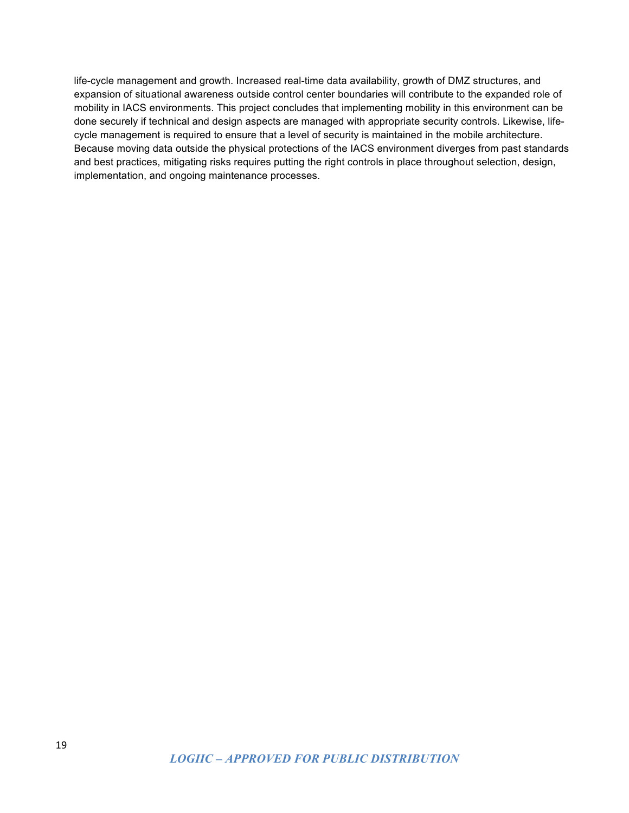life-cycle management and growth. Increased real-time data availability, growth of DMZ structures, and expansion of situational awareness outside control center boundaries will contribute to the expanded role of mobility in IACS environments. This project concludes that implementing mobility in this environment can be done securely if technical and design aspects are managed with appropriate security controls. Likewise, lifecycle management is required to ensure that a level of security is maintained in the mobile architecture. Because moving data outside the physical protections of the IACS environment diverges from past standards and best practices, mitigating risks requires putting the right controls in place throughout selection, design, implementation, and ongoing maintenance processes.